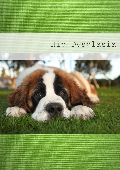# Hip Dysplasia

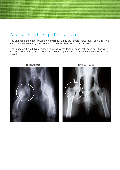## Anatomy of Hip Dysplasia

You can see on the right image (healthy hip joint) that the femoral head (ball) fits snuggly into the acetabulum (socket) and there are smooth bone edges around the joint.

The image on the left (hip dysplasia) shows that the femoral head (ball) does not fit snuggly into the acetabulum (socket). You can also see signs of arthritis and the bone edges are not smooth.





Hip Dysplasia **Healthy Hip Joint**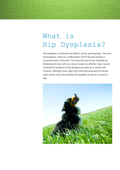## What is Hip Dysplasia?

Hip dysplasia is a disease that affects young, growing dogs. The term, hip dysplasia, refers to a malformation of the hip joint leading to excessive laxity of the joint. The body will react to the instability by thickening the joint with scar tissue, known as arthritis. Dogs may be screened for evidence of hip dysplasia as early as 4 months old. However, although some dogs may have hips assessed as normal when young, they may develop hip dysplasia as late as 2 years of age.

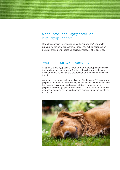## What are the symptoms of hip dysplasia?

Often this condition is recognized by the "bunny hop" gait while running. As the condition worsens, dogs may exhibit soreness on rising or sitting down, going up stairs, jumping, or after exercise.

### What tests are needed?

Diagnosis of hip dysplasia is made through radiographs taken while the dog is under anaesthesia. Radiographs will show evidence of laxity at the hip as well as the progression of arthritic changes within the hip.

Also, the veterinarian will try to elicit an "Ortolani sign." This is when palpation of the hip joint reveals significant instability compatible with hip dysplasia. A normal hip has no instability. However, both palpation and radiographs are needed in order to make an accurate diagnosis, because as the hip becomes more arthritic, the instability will lessen.

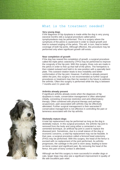### What is the treatment needed?

#### **Very young dogs**

If the diagnosis of hip dysplasia is made while the dog is very young (several months old) a surgical procedure called pelvic symphysiodesis may be performed. This is a surgery where the symphysis of the pelvis is cauterized in order to retard growth and lead to outward angling of the pelvis. This will, in turn, lead to better coverage of both hip joints. Although effective, this procedure may be performed only when significant growth still exists.

#### **Near completion of growth**

If the dog has neared the completion of growth, a surgical procedure called the triple pelvic osteotomy (TPO) may be performed to improve the congruity of the hip joint. With this surgery, three cuts are made in the pelvis in order to free up that half of the pelvis. The hemipelvis is then rotated outward and held in its new position with a specially bent plate. This outward rotation leads to less instability and better conformation of the hip joint. However, if arthritis is already present within the joint, this surgery is not recommended as further surgical procedures or treatment may then be needed in the future to address the arthritis. Often this surgery is performed while the dog is between 7 months and 1½ years old.

#### **Arthritis already present**

If significant arthritis already exists when the diagnosis of hip dysplasia is made, conservative management is often attempted initially, consisting of exercise restriction and anti-inflammatory therapy. Often combined with physical therapy and perhaps acupuncture, pain associated with arthritis may be effectively alleviated. Further surgical management is then warranted if conservative management is not effective in controlling the pain or lameness associated with the hip arthritis.

#### **Skeletally mature dogs**

A total hip replacement may be performed as long as the dog is skeletally mature. In this surgical procedure, the arthritic hip joint is removed from the body and using either a cemented or noncemented technique, an artificial hip joint is used to replace the diseased joint. Sometimes, due to a small stature of the dog or economic concerns, a total hip replacement may not be feasible. In that case, a surgical procedure called a femoral head ostectomy (FHO) may be performed. With this surgery, the head of the femur is excised with no replacement of the joint performed. As arthritis progresses, the cartilage in the joint is worn away, leading to boneon-bone contact and significant pain. By removing the head of the femur, this pain of bony contact is alleviated.

Although we feel this surgery is more successful in smaller dogs or cats, larger dogs may also see a significant improvement in quality of life with excellent pain relief.